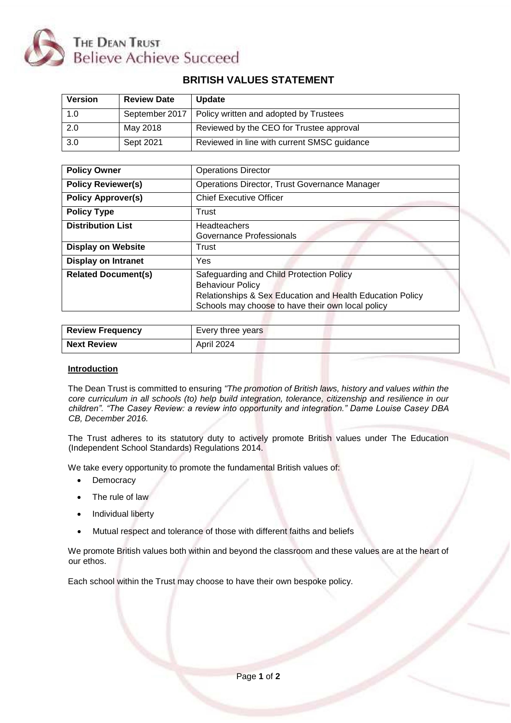

## **BRITISH VALUES STATEMENT**

| <b>Version</b> | <b>Review Date</b> | <b>Update</b>                                           |
|----------------|--------------------|---------------------------------------------------------|
| 1.0            |                    | September 2017   Policy written and adopted by Trustees |
| 2.0            | May 2018           | Reviewed by the CEO for Trustee approval                |
| 3.0            | Sept 2021          | Reviewed in line with current SMSC guidance             |

| <b>Policy Owner</b>        | <b>Operations Director</b>                                                                                                                                                            |
|----------------------------|---------------------------------------------------------------------------------------------------------------------------------------------------------------------------------------|
| <b>Policy Reviewer(s)</b>  | Operations Director, Trust Governance Manager                                                                                                                                         |
| <b>Policy Approver(s)</b>  | <b>Chief Executive Officer</b>                                                                                                                                                        |
| <b>Policy Type</b>         | Trust                                                                                                                                                                                 |
| <b>Distribution List</b>   | <b>Headteachers</b><br>Governance Professionals                                                                                                                                       |
| <b>Display on Website</b>  | Trust                                                                                                                                                                                 |
| <b>Display on Intranet</b> | Yes                                                                                                                                                                                   |
| <b>Related Document(s)</b> | Safeguarding and Child Protection Policy<br><b>Behaviour Policy</b><br>Relationships & Sex Education and Health Education Policy<br>Schools may choose to have their own local policy |

| <b>Review Frequency</b> | Every three years |
|-------------------------|-------------------|
| <b>Next Review</b>      | <b>April 2024</b> |

## **Introduction**

The Dean Trust is committed to ensuring *"The promotion of British laws, history and values within the core curriculum in all schools (to) help build integration, tolerance, citizenship and resilience in our children". "The Casey Review: a review into opportunity and integration." Dame Louise Casey DBA CB, December 2016.* 

The Trust adheres to its statutory duty to actively promote British values under The Education (Independent School Standards) Regulations 2014.

We take every opportunity to promote the fundamental British values of:

- Democracy
- The rule of law
- Individual liberty
- Mutual respect and tolerance of those with different faiths and beliefs

We promote British values both within and beyond the classroom and these values are at the heart of our ethos.

Each school within the Trust may choose to have their own bespoke policy.